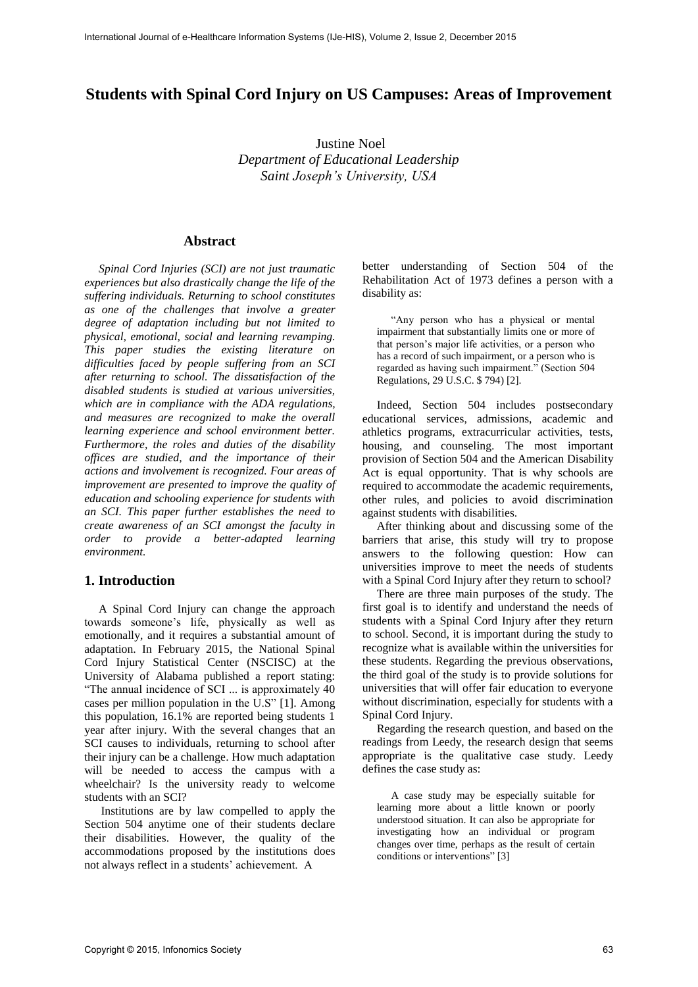# **Students with Spinal Cord Injury on US Campuses: Areas of Improvement**

Justine Noel *Department of Educational Leadership Saint Joseph's University, USA*

#### **Abstract**

*Spinal Cord Injuries (SCI) are not just traumatic experiences but also drastically change the life of the suffering individuals. Returning to school constitutes as one of the challenges that involve a greater degree of adaptation including but not limited to physical, emotional, social and learning revamping. This paper studies the existing literature on difficulties faced by people suffering from an SCI after returning to school. The dissatisfaction of the disabled students is studied at various universities, which are in compliance with the ADA regulations, and measures are recognized to make the overall learning experience and school environment better. Furthermore, the roles and duties of the disability offices are studied, and the importance of their actions and involvement is recognized. Four areas of improvement are presented to improve the quality of education and schooling experience for students with an SCI. This paper further establishes the need to create awareness of an SCI amongst the faculty in order to provide a better-adapted learning environment.* 

#### **1. Introduction**

A Spinal Cord Injury can change the approach towards someone's life, physically as well as emotionally, and it requires a substantial amount of adaptation. In February 2015, the National Spinal Cord Injury Statistical Center (NSCISC) at the University of Alabama published a report stating: "The annual incidence of SCI ... is approximately 40 cases per million population in the U.S" [1]. Among this population, 16.1% are reported being students 1 year after injury. With the several changes that an SCI causes to individuals, returning to school after their injury can be a challenge. How much adaptation will be needed to access the campus with a wheelchair? Is the university ready to welcome students with an SCI?

Institutions are by law compelled to apply the Section 504 anytime one of their students declare their disabilities. However, the quality of the accommodations proposed by the institutions does not always reflect in a students' achievement. A

better understanding of Section 504 of the Rehabilitation Act of 1973 defines a person with a disability as:

"Any person who has a physical or mental impairment that substantially limits one or more of that person's major life activities, or a person who has a record of such impairment, or a person who is regarded as having such impairment." (Section 504 Regulations, 29 U.S.C. \$ 794) [2].

Indeed, Section 504 includes postsecondary educational services, admissions, academic and athletics programs, extracurricular activities, tests, housing, and counseling. The most important provision of Section 504 and the American Disability Act is equal opportunity. That is why schools are required to accommodate the academic requirements, other rules, and policies to avoid discrimination against students with disabilities.

After thinking about and discussing some of the barriers that arise, this study will try to propose answers to the following question: How can universities improve to meet the needs of students with a Spinal Cord Injury after they return to school?

There are three main purposes of the study. The first goal is to identify and understand the needs of students with a Spinal Cord Injury after they return to school. Second, it is important during the study to recognize what is available within the universities for these students. Regarding the previous observations, the third goal of the study is to provide solutions for universities that will offer fair education to everyone without discrimination, especially for students with a Spinal Cord Injury.

Regarding the research question, and based on the readings from Leedy, the research design that seems appropriate is the qualitative case study. Leedy defines the case study as:

A case study may be especially suitable for learning more about a little known or poorly understood situation. It can also be appropriate for investigating how an individual or program changes over time, perhaps as the result of certain conditions or interventions" [3]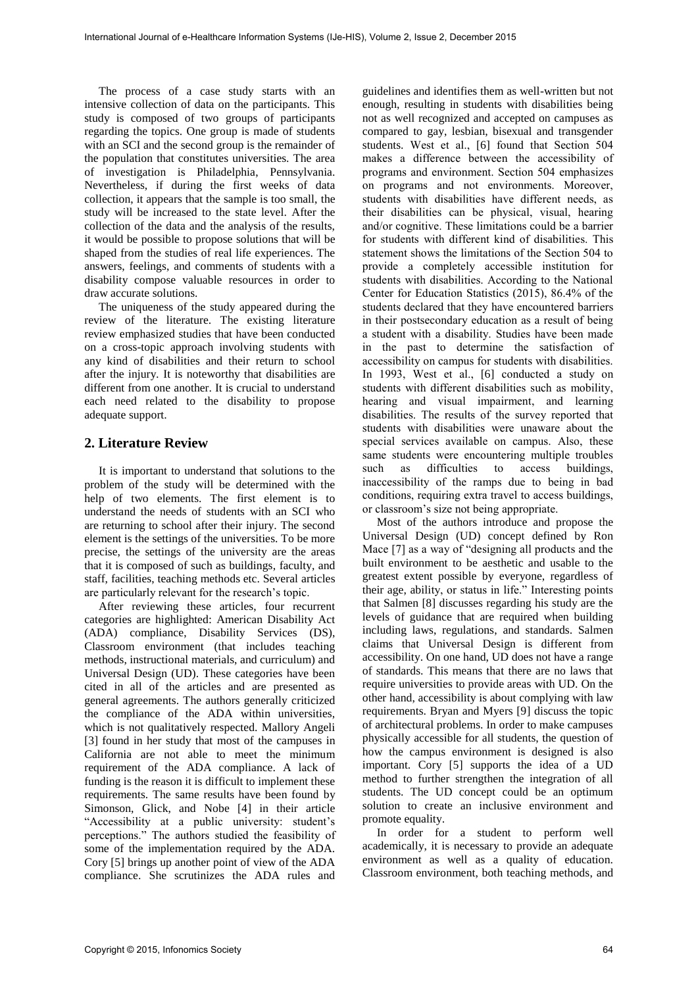The process of a case study starts with an intensive collection of data on the participants. This study is composed of two groups of participants regarding the topics. One group is made of students with an SCI and the second group is the remainder of the population that constitutes universities. The area of investigation is Philadelphia, Pennsylvania. Nevertheless, if during the first weeks of data collection, it appears that the sample is too small, the study will be increased to the state level. After the collection of the data and the analysis of the results, it would be possible to propose solutions that will be shaped from the studies of real life experiences. The answers, feelings, and comments of students with a disability compose valuable resources in order to draw accurate solutions.

The uniqueness of the study appeared during the review of the literature. The existing literature review emphasized studies that have been conducted on a cross-topic approach involving students with any kind of disabilities and their return to school after the injury*.* It is noteworthy that disabilities are different from one another. It is crucial to understand each need related to the disability to propose adequate support.

# **2. Literature Review**

It is important to understand that solutions to the problem of the study will be determined with the help of two elements. The first element is to understand the needs of students with an SCI who are returning to school after their injury. The second element is the settings of the universities. To be more precise, the settings of the university are the areas that it is composed of such as buildings, faculty, and staff, facilities, teaching methods etc. Several articles are particularly relevant for the research's topic.

After reviewing these articles, four recurrent categories are highlighted: American Disability Act (ADA) compliance, Disability Services (DS), Classroom environment (that includes teaching methods, instructional materials, and curriculum) and Universal Design (UD). These categories have been cited in all of the articles and are presented as general agreements. The authors generally criticized the compliance of the ADA within universities, which is not qualitatively respected. Mallory Angeli [3] found in her study that most of the campuses in California are not able to meet the minimum requirement of the ADA compliance. A lack of funding is the reason it is difficult to implement these requirements. The same results have been found by Simonson, Glick, and Nobe [4] in their article "Accessibility at a public university: student's perceptions." The authors studied the feasibility of some of the implementation required by the ADA. Cory [5] brings up another point of view of the ADA compliance. She scrutinizes the ADA rules and

guidelines and identifies them as well-written but not enough, resulting in students with disabilities being not as well recognized and accepted on campuses as compared to gay, lesbian, bisexual and transgender students. West et al., [6] found that Section 504 makes a difference between the accessibility of programs and environment. Section 504 emphasizes on programs and not environments. Moreover, students with disabilities have different needs, as their disabilities can be physical, visual, hearing and/or cognitive. These limitations could be a barrier for students with different kind of disabilities. This statement shows the limitations of the Section 504 to provide a completely accessible institution for students with disabilities. According to the National Center for Education Statistics (2015), 86.4% of the students declared that they have encountered barriers in their postsecondary education as a result of being a student with a disability. Studies have been made in the past to determine the satisfaction of accessibility on campus for students with disabilities. In 1993, West et al., [6] conducted a study on students with different disabilities such as mobility, hearing and visual impairment, and learning disabilities. The results of the survey reported that students with disabilities were unaware about the special services available on campus. Also, these same students were encountering multiple troubles<br>such as difficulties to access buildings, such as difficulties inaccessibility of the ramps due to being in bad conditions, requiring extra travel to access buildings, or classroom's size not being appropriate.

Most of the authors introduce and propose the Universal Design (UD) concept defined by Ron Mace [7] as a way of "designing all products and the built environment to be aesthetic and usable to the greatest extent possible by everyone, regardless of their age, ability, or status in life." Interesting points that Salmen [8] discusses regarding his study are the levels of guidance that are required when building including laws, regulations, and standards. Salmen claims that Universal Design is different from accessibility. On one hand, UD does not have a range of standards. This means that there are no laws that require universities to provide areas with UD. On the other hand, accessibility is about complying with law requirements. Bryan and Myers [9] discuss the topic of architectural problems. In order to make campuses physically accessible for all students, the question of how the campus environment is designed is also important. Cory [5] supports the idea of a UD method to further strengthen the integration of all students. The UD concept could be an optimum solution to create an inclusive environment and promote equality.

In order for a student to perform well academically, it is necessary to provide an adequate environment as well as a quality of education. Classroom environment, both teaching methods, and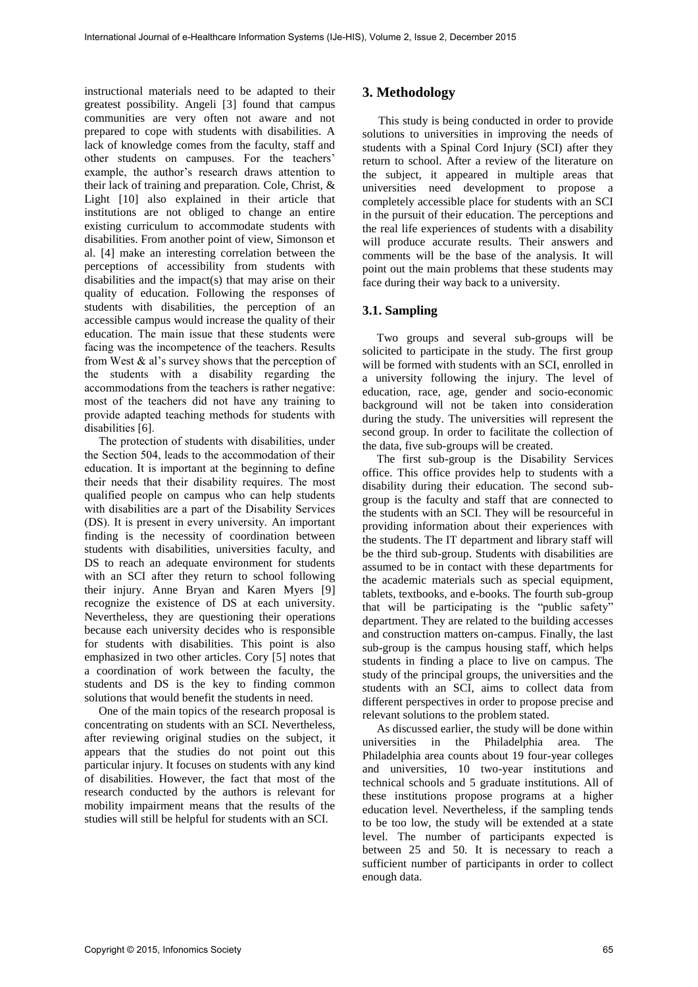instructional materials need to be adapted to their greatest possibility. Angeli [3] found that campus communities are very often not aware and not prepared to cope with students with disabilities. A lack of knowledge comes from the faculty, staff and other students on campuses. For the teachers' example, the author's research draws attention to their lack of training and preparation. Cole, Christ, & Light [10] also explained in their article that institutions are not obliged to change an entire existing curriculum to accommodate students with disabilities. From another point of view, Simonson et al. [4] make an interesting correlation between the perceptions of accessibility from students with disabilities and the impact(s) that may arise on their quality of education. Following the responses of students with disabilities, the perception of an accessible campus would increase the quality of their education. The main issue that these students were facing was the incompetence of the teachers. Results from West  $\&$  al's survey shows that the perception of the students with a disability regarding the accommodations from the teachers is rather negative: most of the teachers did not have any training to provide adapted teaching methods for students with disabilities [6].

The protection of students with disabilities, under the Section 504, leads to the accommodation of their education. It is important at the beginning to define their needs that their disability requires. The most qualified people on campus who can help students with disabilities are a part of the Disability Services (DS). It is present in every university. An important finding is the necessity of coordination between students with disabilities, universities faculty, and DS to reach an adequate environment for students with an SCI after they return to school following their injury. Anne Bryan and Karen Myers [9] recognize the existence of DS at each university. Nevertheless, they are questioning their operations because each university decides who is responsible for students with disabilities. This point is also emphasized in two other articles. Cory [5] notes that a coordination of work between the faculty, the students and DS is the key to finding common solutions that would benefit the students in need.

One of the main topics of the research proposal is concentrating on students with an SCI. Nevertheless, after reviewing original studies on the subject, it appears that the studies do not point out this particular injury. It focuses on students with any kind of disabilities. However, the fact that most of the research conducted by the authors is relevant for mobility impairment means that the results of the studies will still be helpful for students with an SCI.

# **3. Methodology**

This study is being conducted in order to provide solutions to universities in improving the needs of students with a Spinal Cord Injury (SCI) after they return to school. After a review of the literature on the subject, it appeared in multiple areas that universities need development to propose a completely accessible place for students with an SCI in the pursuit of their education. The perceptions and the real life experiences of students with a disability will produce accurate results. Their answers and comments will be the base of the analysis. It will point out the main problems that these students may face during their way back to a university.

### **3.1. Sampling**

Two groups and several sub-groups will be solicited to participate in the study. The first group will be formed with students with an SCI, enrolled in a university following the injury. The level of education, race, age, gender and socio-economic background will not be taken into consideration during the study. The universities will represent the second group. In order to facilitate the collection of the data, five sub-groups will be created.

The first sub-group is the Disability Services office. This office provides help to students with a disability during their education. The second subgroup is the faculty and staff that are connected to the students with an SCI. They will be resourceful in providing information about their experiences with the students. The IT department and library staff will be the third sub-group. Students with disabilities are assumed to be in contact with these departments for the academic materials such as special equipment, tablets, textbooks, and e-books. The fourth sub-group that will be participating is the "public safety" department. They are related to the building accesses and construction matters on-campus. Finally, the last sub-group is the campus housing staff, which helps students in finding a place to live on campus. The study of the principal groups, the universities and the students with an SCI, aims to collect data from different perspectives in order to propose precise and relevant solutions to the problem stated.

As discussed earlier, the study will be done within universities in the Philadelphia area. The Philadelphia area counts about 19 four-year colleges and universities, 10 two-year institutions and technical schools and 5 graduate institutions. All of these institutions propose programs at a higher education level. Nevertheless, if the sampling tends to be too low, the study will be extended at a state level. The number of participants expected is between 25 and 50. It is necessary to reach a sufficient number of participants in order to collect enough data.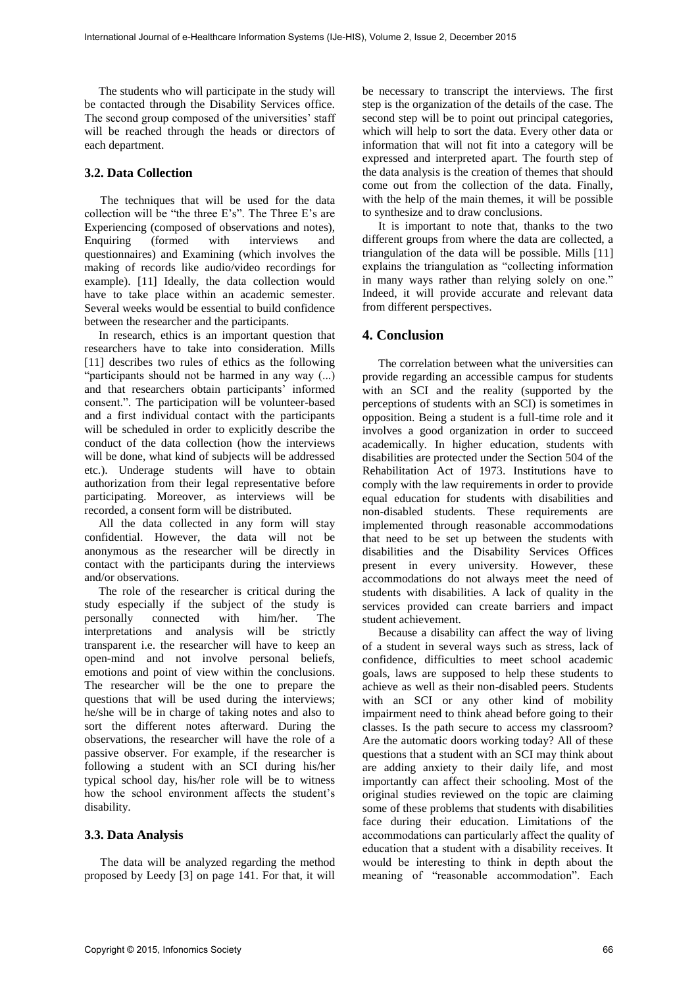The students who will participate in the study will be contacted through the Disability Services office. The second group composed of the universities' staff will be reached through the heads or directors of each department.

#### **3.2. Data Collection**

The techniques that will be used for the data collection will be "the three E's". The Three E's are Experiencing (composed of observations and notes), Enquiring (formed with interviews and questionnaires) and Examining (which involves the making of records like audio/video recordings for example). [11] Ideally, the data collection would have to take place within an academic semester. Several weeks would be essential to build confidence between the researcher and the participants.

In research, ethics is an important question that researchers have to take into consideration. Mills [11] describes two rules of ethics as the following "participants should not be harmed in any way (...) and that researchers obtain participants' informed consent.". The participation will be volunteer-based and a first individual contact with the participants will be scheduled in order to explicitly describe the conduct of the data collection (how the interviews will be done, what kind of subjects will be addressed etc.). Underage students will have to obtain authorization from their legal representative before participating. Moreover, as interviews will be recorded, a consent form will be distributed.

All the data collected in any form will stay confidential. However, the data will not be anonymous as the researcher will be directly in contact with the participants during the interviews and/or observations.

The role of the researcher is critical during the study especially if the subject of the study is personally connected with him/her. The interpretations and analysis will be strictly transparent i.e. the researcher will have to keep an open-mind and not involve personal beliefs, emotions and point of view within the conclusions. The researcher will be the one to prepare the questions that will be used during the interviews; he/she will be in charge of taking notes and also to sort the different notes afterward. During the observations, the researcher will have the role of a passive observer. For example, if the researcher is following a student with an SCI during his/her typical school day, his/her role will be to witness how the school environment affects the student's disability.

#### **3.3. Data Analysis**

The data will be analyzed regarding the method proposed by Leedy [3] on page 141. For that, it will

be necessary to transcript the interviews. The first step is the organization of the details of the case. The second step will be to point out principal categories, which will help to sort the data. Every other data or information that will not fit into a category will be expressed and interpreted apart. The fourth step of the data analysis is the creation of themes that should come out from the collection of the data. Finally, with the help of the main themes, it will be possible to synthesize and to draw conclusions.

It is important to note that, thanks to the two different groups from where the data are collected, a triangulation of the data will be possible. Mills [11] explains the triangulation as "collecting information in many ways rather than relying solely on one." Indeed, it will provide accurate and relevant data from different perspectives.

### **4. Conclusion**

The correlation between what the universities can provide regarding an accessible campus for students with an SCI and the reality (supported by the perceptions of students with an SCI) is sometimes in opposition. Being a student is a full-time role and it involves a good organization in order to succeed academically. In higher education, students with disabilities are protected under the Section 504 of the Rehabilitation Act of 1973. Institutions have to comply with the law requirements in order to provide equal education for students with disabilities and non-disabled students. These requirements are implemented through reasonable accommodations that need to be set up between the students with disabilities and the Disability Services Offices present in every university. However, these accommodations do not always meet the need of students with disabilities. A lack of quality in the services provided can create barriers and impact student achievement.

Because a disability can affect the way of living of a student in several ways such as stress, lack of confidence, difficulties to meet school academic goals, laws are supposed to help these students to achieve as well as their non-disabled peers. Students with an SCI or any other kind of mobility impairment need to think ahead before going to their classes. Is the path secure to access my classroom? Are the automatic doors working today? All of these questions that a student with an SCI may think about are adding anxiety to their daily life, and most importantly can affect their schooling. Most of the original studies reviewed on the topic are claiming some of these problems that students with disabilities face during their education. Limitations of the accommodations can particularly affect the quality of education that a student with a disability receives. It would be interesting to think in depth about the meaning of "reasonable accommodation". Each